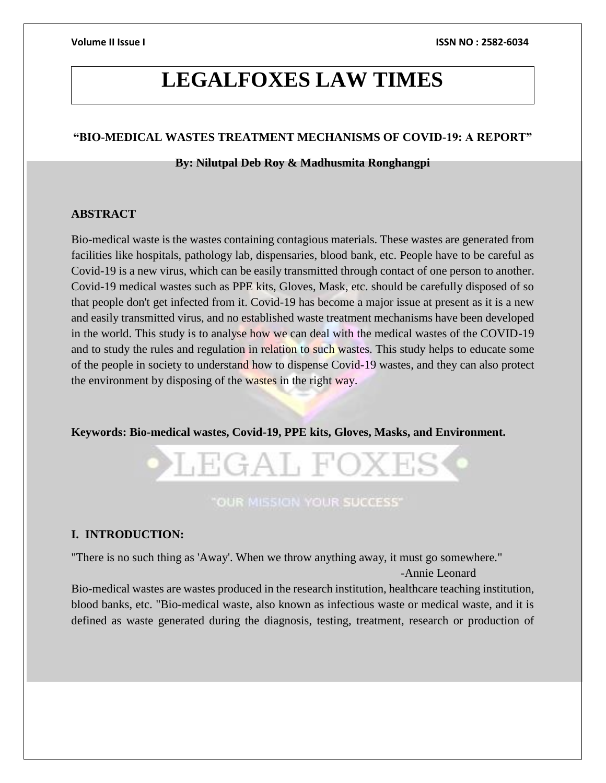# **LEGALFOXES LAW TIMES**

#### **"BIO-MEDICAL WASTES TREATMENT MECHANISMS OF COVID-19: A REPORT"**

#### **By: Nilutpal Deb Roy & Madhusmita Ronghangpi**

#### **ABSTRACT**

Bio-medical waste is the wastes containing contagious materials. These wastes are generated from facilities like hospitals, pathology lab, dispensaries, blood bank, etc. People have to be careful as Covid-19 is a new virus, which can be easily transmitted through contact of one person to another. Covid-19 medical wastes such as PPE kits, Gloves, Mask, etc. should be carefully disposed of so that people don't get infected from it. Covid-19 has become a major issue at present as it is a new and easily transmitted virus, and no established waste treatment mechanisms have been developed in the world. This study is to analyse how we can deal with the medical wastes of the COVID-19 and to study the rules and regulation in relation to such wastes. This study helps to educate some of the people in society to understand how to dispense Covid-19 wastes, and they can also protect the environment by disposing of the wastes in the right way.

**Keywords: Bio-medical wastes, Covid-19, PPE kits, Gloves, Masks, and Environment.**



## **"OUR MISSION YOUR SUCCESS"**

#### **I. INTRODUCTION:**

"There is no such thing as 'Away'. When we throw anything away, it must go somewhere."

-Annie Leonard

Bio-medical wastes are wastes produced in the research institution, healthcare teaching institution, blood banks, etc. "Bio-medical waste, also known as infectious waste or medical waste, and it is defined as waste generated during the diagnosis, testing, treatment, research or production of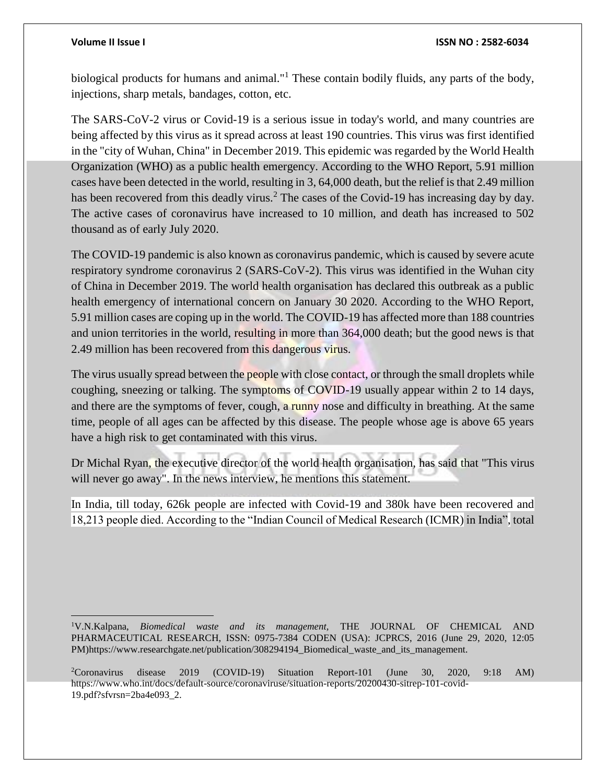biological products for humans and animal."<sup>1</sup> These contain bodily fluids, any parts of the body, injections, sharp metals, bandages, cotton, etc.

The SARS-CoV-2 virus or Covid-19 is a serious issue in today's world, and many countries are being affected by this virus as it spread across at least 190 countries. This virus was first identified in the "city of Wuhan, China" in December 2019. This epidemic was regarded by the World Health Organization (WHO) as a public health emergency. According to the WHO Report, 5.91 million cases have been detected in the world, resulting in 3, 64,000 death, but the relief is that 2.49 million has been recovered from this deadly virus.<sup>2</sup> The cases of the Covid-19 has increasing day by day. The active cases of coronavirus have increased to 10 million, and death has increased to 502 thousand as of early July 2020.

The COVID-19 pandemic is also known as coronavirus pandemic, which is caused by severe acute respiratory syndrome coronavirus 2 (SARS-CoV-2). This virus was identified in the Wuhan city of China in December 2019. The world health organisation has declared this outbreak as a public health emergency of international concern on January 30 2020. According to the WHO Report, 5.91 million cases are coping up in the world. The COVID-19 has affected more than 188 countries and union territories in the world, resulting in more than 364,000 death; but the good news is that 2.49 million has been recovered from this dangerous virus.

The virus usually spread between the people with close contact, or through the small droplets while coughing, sneezing or talking. The symptoms of COVID-19 usually appear within 2 to 14 days, and there are the symptoms of fever, cough, a runny nose and difficulty in breathing. At the same time, people of all ages can be affected by this disease. The people whose age is above 65 years have a high risk to get contaminated with this virus.

Dr Michal Ryan, the executive director of the world health organisation, has said that "This virus will never go away". In the news interview, he mentions this statement.

In India, till today, 626k people are infected with Covid-19 and 380k have been recovered and 18,213 people died. According to the "Indian Council of Medical Research (ICMR) in India", total

<sup>1</sup>V.N.Kalpana, *Biomedical waste and its management,* THE JOURNAL OF CHEMICAL AND PHARMACEUTICAL RESEARCH, ISSN: 0975-7384 CODEN (USA): JCPRCS, 2016 (June 29, 2020, 12:05 PM)https://www.researchgate.net/publication/308294194 Biomedical waste and its management.

<sup>2</sup>Coronavirus disease 2019 (COVID-19) Situation Report-101 (June 30, 2020, 9:18 AM) https://www.who.int/docs/default-source/coronaviruse/situation-reports/20200430-sitrep-101-covid-19.pdf?sfvrsn=2ba4e093\_2.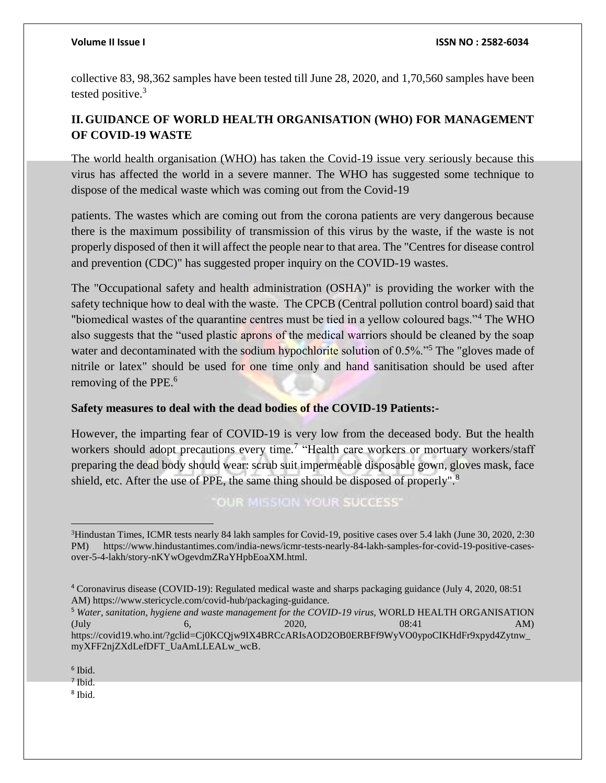collective 83, 98,362 samples have been tested till June 28, 2020, and 1,70,560 samples have been tested positive.<sup>3</sup>

# **II.GUIDANCE OF WORLD HEALTH ORGANISATION (WHO) FOR MANAGEMENT OF COVID-19 WASTE**

The world health organisation (WHO) has taken the Covid-19 issue very seriously because this virus has affected the world in a severe manner. The WHO has suggested some technique to dispose of the medical waste which was coming out from the Covid-19

patients. The wastes which are coming out from the corona patients are very dangerous because there is the maximum possibility of transmission of this virus by the waste, if the waste is not properly disposed of then it will affect the people near to that area. The "Centres for disease control and prevention (CDC)" has suggested proper inquiry on the COVID-19 wastes.

The "Occupational safety and health administration (OSHA)" is providing the worker with the safety technique how to deal with the waste. The CPCB (Central pollution control board) said that "biomedical wastes of the quarantine centres must be tied in a yellow coloured bags."<sup>4</sup> The WHO also suggests that the "used plastic aprons of the medical warriors should be cleaned by the soap water and decontaminated with the sodium hypochlorite solution of 0.5%.<sup>5</sup> The "gloves made of nitrile or latex" should be used for one time only and hand sanitisation should be used after removing of the PPE.<sup>6</sup>

### **Safety measures to deal with the dead bodies of the COVID-19 Patients:-**

However, the imparting fear of COVID-19 is very low from the deceased body. But the health workers should adopt precautions every time.<sup>7</sup> "Health care workers or mortuary workers/staff preparing the dead body should wear: scrub suit impermeable disposable gown, gloves mask, face shield, etc. After the use of PPE, the same thing should be disposed of properly".<sup>8</sup>

OUR MISSION YOUR SUCCESS'

8 Ibid.

 <sup>3</sup>Hindustan Times, ICMR tests nearly 84 lakh samples for Covid-19, positive cases over 5.4 lakh (June 30, 2020, 2:30) PM) https://www.hindustantimes.com/india-news/icmr-tests-nearly-84-lakh-samples-for-covid-19-positive-casesover-5-4-lakh/story-nKYwOgevdmZRaYHpbEoaXM.html.

<sup>4</sup> Coronavirus disease (COVID-19): Regulated medical waste and sharps packaging guidance (July 4, 2020, 08:51 AM) https://www.stericycle.com/covid-hub/packaging-guidance.

<sup>&</sup>lt;sup>5</sup> Water, sanitation, hygiene and waste management for the COVID-19 virus, WORLD HEALTH ORGANISATION  $(\text{July} \qquad 6, \qquad 2020, \qquad 08:41 \qquad \text{AM})$ https://covid19.who.int/?gclid=Cj0KCQjw9IX4BRCcARIsAOD2OB0ERBFf9WyVO0ypoCIKHdFr9xpyd4Zytnw\_ myXFF2njZXdLefDFT\_UaAmLLEALw\_wcB.

<sup>6</sup> Ibid.

<sup>7</sup> Ibid.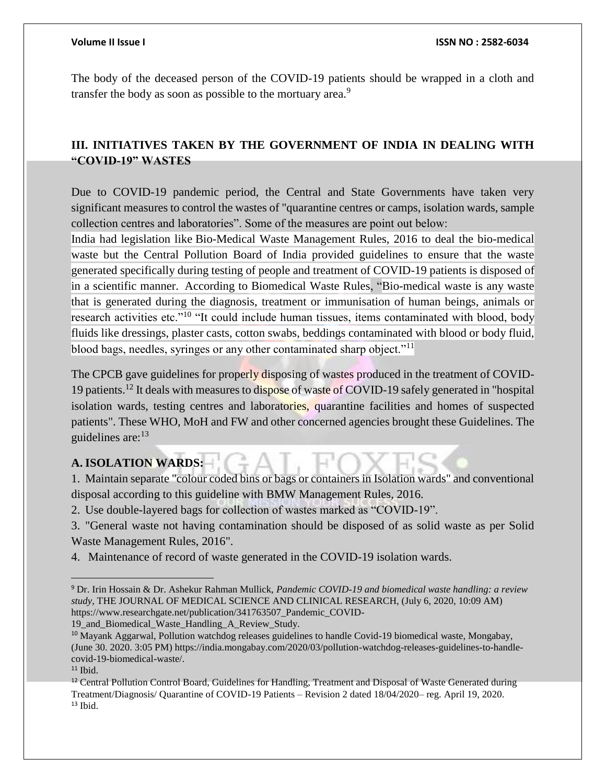The body of the deceased person of the COVID-19 patients should be wrapped in a cloth and transfer the body as soon as possible to the mortuary area.<sup>9</sup>

# **III. INITIATIVES TAKEN BY THE GOVERNMENT OF INDIA IN DEALING WITH "COVID-19" WASTES**

Due to COVID-19 pandemic period, the Central and State Governments have taken very significant measures to control the wastes of "quarantine centres or camps, isolation wards, sample collection centres and laboratories". Some of the measures are point out below:

India had legislation like Bio-Medical Waste Management Rules, 2016 to deal the bio-medical waste but the Central Pollution Board of India provided guidelines to ensure that the waste generated specifically during testing of people and treatment of COVID-19 patients is disposed of in a scientific manner. According to Biomedical Waste Rules, "Bio-medical waste is any waste that is generated during the diagnosis, treatment or immunisation of human beings, animals or research activities etc."<sup>10</sup> "It could include human tissues, items contaminated with blood, body fluids like dressings, plaster casts, cotton swabs, beddings contaminated with blood or body fluid, blood bags, needles, syringes or any other contaminated sharp object."<sup>11</sup>

The CPCB gave guidelines for properly disposing of wastes produced in the treatment of COVID-19 patients.<sup>12</sup> It deals with measures to dispose of waste of COVID-19 safely generated in "hospital" isolation wards, testing centres and laboratories, quarantine facilities and homes of suspected patients". These WHO, MoH and FW and other concerned agencies brought these Guidelines. The guidelines are: $13$ 

### **A. ISOLATION WARDS:**

1. Maintain separate "colour coded bins or bags or containers in Isolation wards" and conventional disposal according to this guideline with BMW Management Rules, 2016.

2. Use double-layered bags for collection of wastes marked as "COVID-19".

3. "General waste not having contamination should be disposed of as solid waste as per Solid Waste Management Rules, 2016".

4. Maintenance of record of waste generated in the COVID-19 isolation wards.

19\_and\_Biomedical\_Waste\_Handling\_A\_Review\_Study.

 $\overline{a}$ 

<sup>9</sup> Dr. Irin Hossain & Dr. Ashekur Rahman Mullick, *Pandemic COVID-19 and biomedical waste handling: a review study,* THE JOURNAL OF MEDICAL SCIENCE AND CLINICAL RESEARCH, (July 6, 2020, 10:09 AM) https://www.researchgate.net/publication/341763507\_Pandemic\_COVID-

<sup>&</sup>lt;sup>10</sup> Mayank Aggarwal, Pollution watchdog releases guidelines to handle Covid-19 biomedical waste, Mongabay, (June 30. 2020. 3:05 PM) https://india.mongabay.com/2020/03/pollution-watchdog-releases-guidelines-to-handlecovid-19-biomedical-waste/.

 $11$  Ibid.

<sup>&</sup>lt;sup>12</sup> Central Pollution Control Board, Guidelines for Handling, Treatment and Disposal of Waste Generated during Treatment/Diagnosis/ Quarantine of COVID-19 Patients – Revision 2 dated 18/04/2020– reg. April 19, 2020.  $13$  Ibid.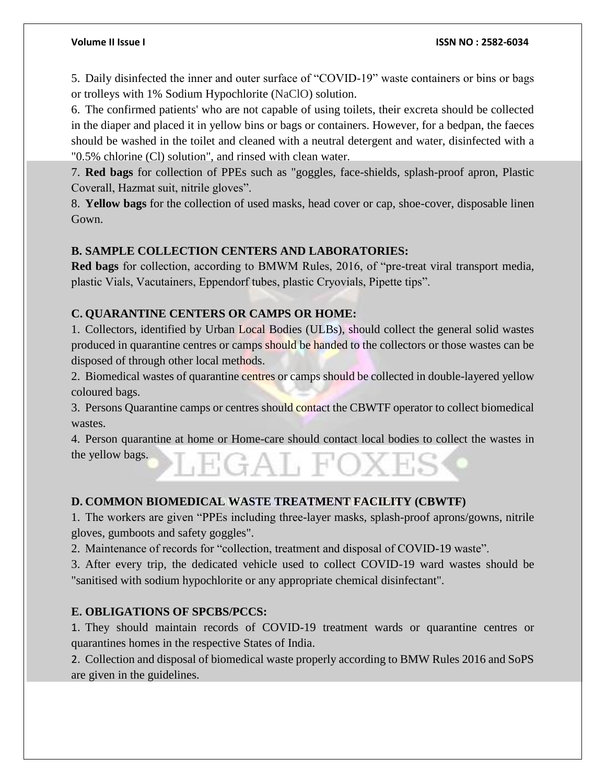5. Daily disinfected the inner and outer surface of "COVID-19" waste containers or bins or bags or trolleys with 1% Sodium Hypochlorite (NaClO) solution.

6. The confirmed patients' who are not capable of using toilets, their excreta should be collected in the diaper and placed it in yellow bins or bags or containers. However, for a bedpan, the faeces should be washed in the toilet and cleaned with a neutral detergent and water, disinfected with a "0.5% chlorine (Cl) solution", and rinsed with clean water.

7. **Red bags** for collection of PPEs such as "goggles, face-shields, splash-proof apron, Plastic Coverall, Hazmat suit, nitrile gloves".

8. **Yellow bags** for the collection of used masks, head cover or cap, shoe-cover, disposable linen Gown.

### **B. SAMPLE COLLECTION CENTERS AND LABORATORIES:**

**Red bags** for collection, according to BMWM Rules, 2016, of "pre-treat viral transport media, plastic Vials, Vacutainers, Eppendorf tubes, plastic Cryovials, Pipette tips".

### **C. QUARANTINE CENTERS OR CAMPS OR HOME:**

1. Collectors, identified by Urban Local Bodies (ULBs), should collect the general solid wastes produced in quarantine centres or camps should be handed to the collectors or those wastes can be disposed of through other local methods.

2. Biomedical wastes of quarantine centres or camps should be collected in double-layered yellow coloured bags.

3. Persons Quarantine camps or centres should contact the CBWTF operator to collect biomedical wastes.

4. Person quarantine at home or Home-care should contact local bodies to collect the wastes in the yellow bags.  $+A$   $H$ 

#### **D. COMMON BIOMEDICAL WASTE TREATMENT FACILITY (CBWTF)**

1. The workers are given "PPEs including three-layer masks, splash-proof aprons/gowns, nitrile gloves, gumboots and safety goggles".

2. Maintenance of records for "collection, treatment and disposal of COVID-19 waste".

3. After every trip, the dedicated vehicle used to collect COVID-19 ward wastes should be "sanitised with sodium hypochlorite or any appropriate chemical disinfectant".

### **E. OBLIGATIONS OF SPCBS/PCCS:**

1. They should maintain records of COVID-19 treatment wards or quarantine centres or quarantines homes in the respective States of India.

2. Collection and disposal of biomedical waste properly according to BMW Rules 2016 and SoPS are given in the guidelines.